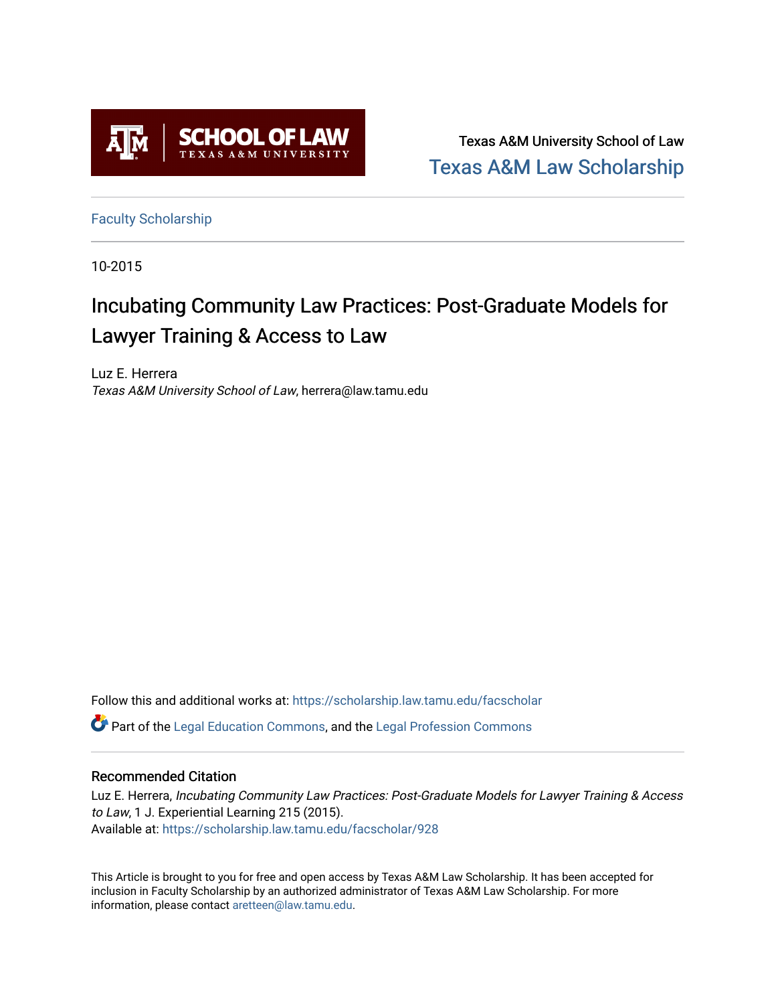

Texas A&M University School of Law [Texas A&M Law Scholarship](https://scholarship.law.tamu.edu/) 

[Faculty Scholarship](https://scholarship.law.tamu.edu/facscholar)

10-2015

# Incubating Community Law Practices: Post-Graduate Models for Lawyer Training & Access to Law

Luz E. Herrera Texas A&M University School of Law, herrera@law.tamu.edu

Follow this and additional works at: [https://scholarship.law.tamu.edu/facscholar](https://scholarship.law.tamu.edu/facscholar?utm_source=scholarship.law.tamu.edu%2Ffacscholar%2F928&utm_medium=PDF&utm_campaign=PDFCoverPages)  Part of the [Legal Education Commons,](http://network.bepress.com/hgg/discipline/857?utm_source=scholarship.law.tamu.edu%2Ffacscholar%2F928&utm_medium=PDF&utm_campaign=PDFCoverPages) and the [Legal Profession Commons](http://network.bepress.com/hgg/discipline/1075?utm_source=scholarship.law.tamu.edu%2Ffacscholar%2F928&utm_medium=PDF&utm_campaign=PDFCoverPages) 

## Recommended Citation

Luz E. Herrera, Incubating Community Law Practices: Post-Graduate Models for Lawyer Training & Access to Law, 1 J. Experiential Learning 215 (2015). Available at: [https://scholarship.law.tamu.edu/facscholar/928](https://scholarship.law.tamu.edu/facscholar/928?utm_source=scholarship.law.tamu.edu%2Ffacscholar%2F928&utm_medium=PDF&utm_campaign=PDFCoverPages)

This Article is brought to you for free and open access by Texas A&M Law Scholarship. It has been accepted for inclusion in Faculty Scholarship by an authorized administrator of Texas A&M Law Scholarship. For more information, please contact [aretteen@law.tamu.edu](mailto:aretteen@law.tamu.edu).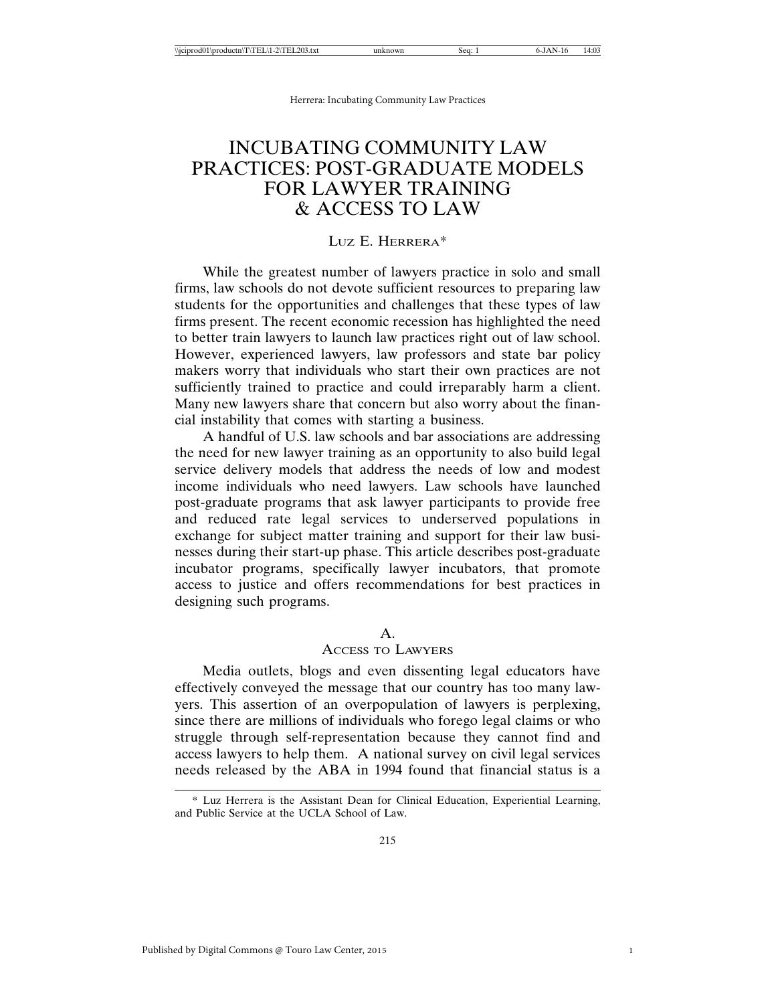## INCUBATING COMMUNITY LAW PRACTICES: POST-GRADUATE MODELS FOR LAWYER TRAINING & ACCESS TO LAW

## LUZ E. HERRERA\*

While the greatest number of lawyers practice in solo and small firms, law schools do not devote sufficient resources to preparing law students for the opportunities and challenges that these types of law firms present. The recent economic recession has highlighted the need to better train lawyers to launch law practices right out of law school. However, experienced lawyers, law professors and state bar policy makers worry that individuals who start their own practices are not sufficiently trained to practice and could irreparably harm a client. Many new lawyers share that concern but also worry about the financial instability that comes with starting a business.

A handful of U.S. law schools and bar associations are addressing the need for new lawyer training as an opportunity to also build legal service delivery models that address the needs of low and modest income individuals who need lawyers. Law schools have launched post-graduate programs that ask lawyer participants to provide free and reduced rate legal services to underserved populations in exchange for subject matter training and support for their law businesses during their start-up phase. This article describes post-graduate incubator programs, specifically lawyer incubators, that promote access to justice and offers recommendations for best practices in designing such programs.

## A.

## ACCESS TO LAWYERS

Media outlets, blogs and even dissenting legal educators have effectively conveyed the message that our country has too many lawyers. This assertion of an overpopulation of lawyers is perplexing, since there are millions of individuals who forego legal claims or who struggle through self-representation because they cannot find and access lawyers to help them. A national survey on civil legal services needs released by the ABA in 1994 found that financial status is a

<sup>\*</sup> Luz Herrera is the Assistant Dean for Clinical Education, Experiential Learning, and Public Service at the UCLA School of Law.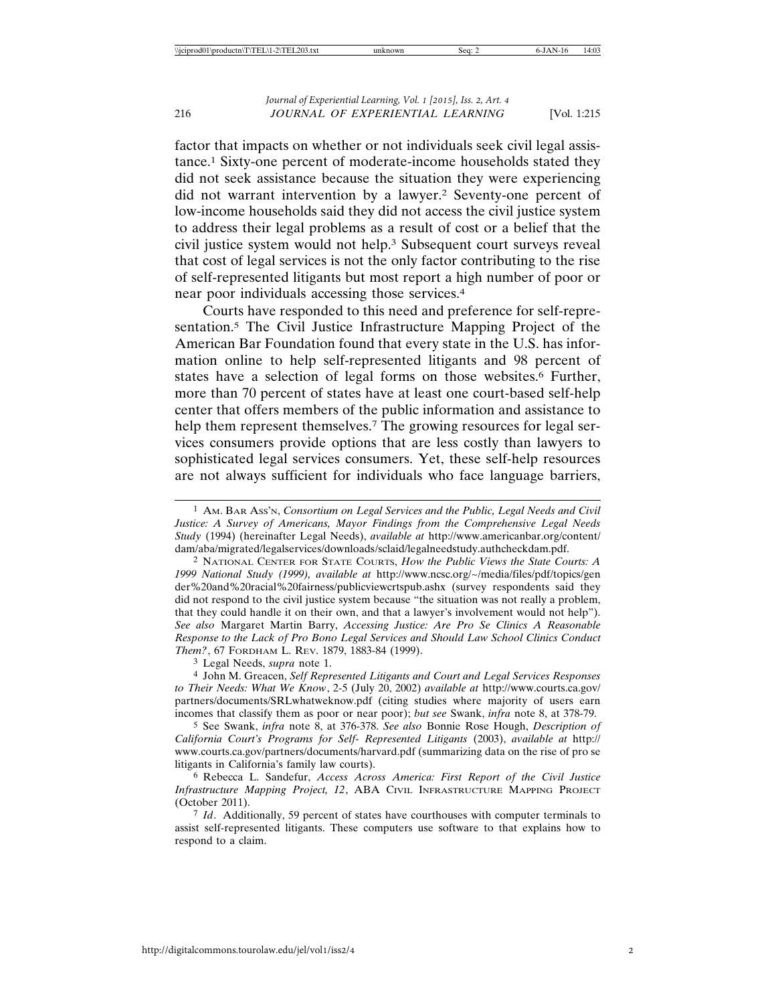factor that impacts on whether or not individuals seek civil legal assistance.1 Sixty-one percent of moderate-income households stated they did not seek assistance because the situation they were experiencing did not warrant intervention by a lawyer.2 Seventy-one percent of low-income households said they did not access the civil justice system to address their legal problems as a result of cost or a belief that the civil justice system would not help.3 Subsequent court surveys reveal that cost of legal services is not the only factor contributing to the rise of self-represented litigants but most report a high number of poor or near poor individuals accessing those services.4

Courts have responded to this need and preference for self-representation.5 The Civil Justice Infrastructure Mapping Project of the American Bar Foundation found that every state in the U.S. has information online to help self-represented litigants and 98 percent of states have a selection of legal forms on those websites.<sup>6</sup> Further, more than 70 percent of states have at least one court-based self-help center that offers members of the public information and assistance to help them represent themselves.<sup>7</sup> The growing resources for legal services consumers provide options that are less costly than lawyers to sophisticated legal services consumers. Yet, these self-help resources are not always sufficient for individuals who face language barriers,

2 NATIONAL CENTER FOR STATE COURTS, *How the Public Views the State Courts: A 1999 National Study (1999), available at* http://www.ncsc.org/~/media/files/pdf/topics/gen der%20and%20racial%20fairness/publicviewcrtspub.ashx (survey respondents said they did not respond to the civil justice system because "the situation was not really a problem, that they could handle it on their own, and that a lawyer's involvement would not help"). *See also* Margaret Martin Barry, *Accessing Justice: Are Pro Se Clinics A Reasonable Response to the Lack of Pro Bono Legal Services and Should Law School Clinics Conduct Them?*, 67 FORDHAM L. REV. 1879, 1883-84 (1999).

3 Legal Needs, *supra* note 1.

4 John M. Greacen, *Self Represented Litigants and Court and Legal Services Responses to Their Needs: What We Know*, 2-5 (July 20, 2002) *available at* http://www.courts.ca.gov/ partners/documents/SRLwhatweknow.pdf (citing studies where majority of users earn incomes that classify them as poor or near poor); *but see* Swank, *infra* note 8, at 378-79.

5 See Swank, *infra* note 8, at 376-378. *See also* Bonnie Rose Hough, *Description of California Court's Programs for Self- Represented Litigants* (2003), *available at* http:// www.courts.ca.gov/partners/documents/harvard.pdf (summarizing data on the rise of pro se litigants in California's family law courts).

6 Rebecca L. Sandefur, *Access Across America: First Report of the Civil Justice Infrastructure Mapping Project, 12*, ABA CIVIL INFRASTRUCTURE MAPPING PROJECT (October 2011).

7 *Id*. Additionally, 59 percent of states have courthouses with computer terminals to assist self-represented litigants. These computers use software to that explains how to respond to a claim.

<sup>1</sup> AM. BAR ASS'N, *Consortium on Legal Services and the Public, Legal Needs and Civil Justice: A Survey of Americans, Mayor Findings from the Comprehensive Legal Needs Study* (1994) (hereinafter Legal Needs), *available at* http://www.americanbar.org/content/ dam/aba/migrated/legalservices/downloads/sclaid/legalneedstudy.authcheckdam.pdf.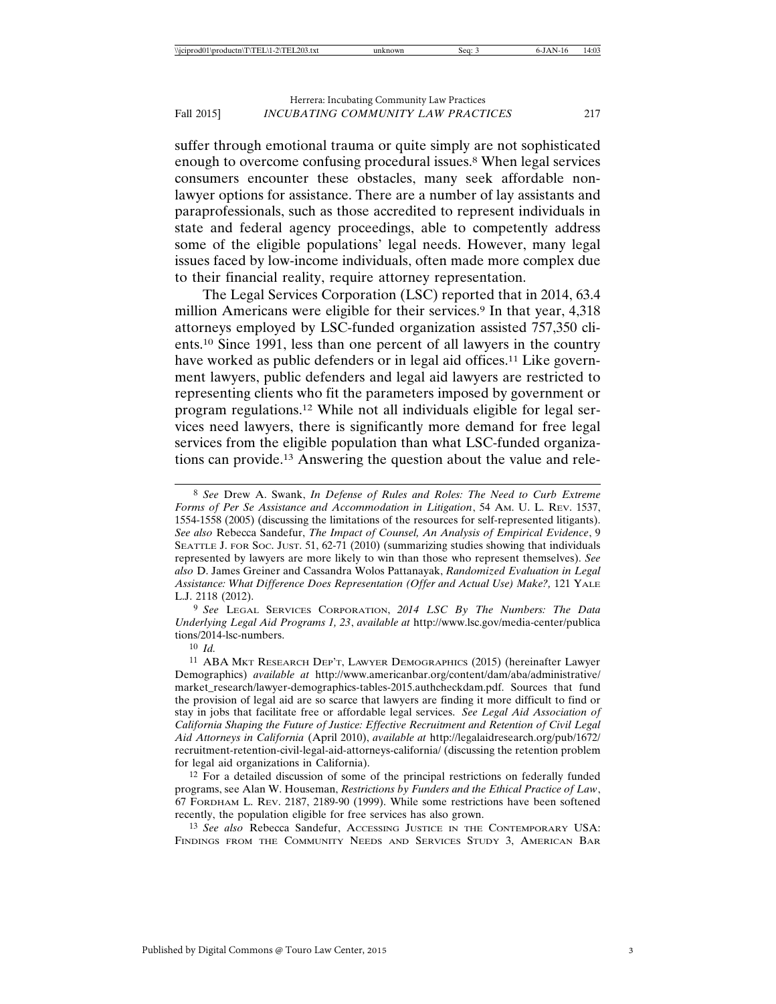suffer through emotional trauma or quite simply are not sophisticated enough to overcome confusing procedural issues.8 When legal services consumers encounter these obstacles, many seek affordable nonlawyer options for assistance. There are a number of lay assistants and paraprofessionals, such as those accredited to represent individuals in state and federal agency proceedings, able to competently address some of the eligible populations' legal needs. However, many legal issues faced by low-income individuals, often made more complex due to their financial reality, require attorney representation.

The Legal Services Corporation (LSC) reported that in 2014, 63.4 million Americans were eligible for their services.<sup>9</sup> In that year, 4,318 attorneys employed by LSC-funded organization assisted 757,350 clients.10 Since 1991, less than one percent of all lawyers in the country have worked as public defenders or in legal aid offices.<sup>11</sup> Like government lawyers, public defenders and legal aid lawyers are restricted to representing clients who fit the parameters imposed by government or program regulations.12 While not all individuals eligible for legal services need lawyers, there is significantly more demand for free legal services from the eligible population than what LSC-funded organizations can provide.13 Answering the question about the value and rele-

9 *See* LEGAL SERVICES CORPORATION, *2014 LSC By The Numbers: The Data Underlying Legal Aid Programs 1, 23*, *available at* http://www.lsc.gov/media-center/publica tions/2014-lsc-numbers.

10 *Id.*

11 ABA MKT RESEARCH DEP'T, LAWYER DEMOGRAPHICS (2015) (hereinafter Lawyer Demographics) *available at* http://www.americanbar.org/content/dam/aba/administrative/ market\_research/lawyer-demographics-tables-2015.authcheckdam.pdf. Sources that fund the provision of legal aid are so scarce that lawyers are finding it more difficult to find or stay in jobs that facilitate free or affordable legal services. *See Legal Aid Association of California Shaping the Future of Justice: Effective Recruitment and Retention of Civil Legal Aid Attorneys in California* (April 2010), *available at* http://legalaidresearch.org/pub/1672/ recruitment-retention-civil-legal-aid-attorneys-california/ (discussing the retention problem for legal aid organizations in California).

12 For a detailed discussion of some of the principal restrictions on federally funded programs, see Alan W. Houseman, *Restrictions by Funders and the Ethical Practice of Law*, 67 FORDHAM L. REV. 2187, 2189-90 (1999). While some restrictions have been softened recently, the population eligible for free services has also grown.

13 *See also* Rebecca Sandefur, ACCESSING JUSTICE IN THE CONTEMPORARY USA: FINDINGS FROM THE COMMUNITY NEEDS AND SERVICES STUDY 3, AMERICAN BAR

<sup>8</sup> *See* Drew A. Swank, *In Defense of Rules and Roles: The Need to Curb Extreme Forms of Per Se Assistance and Accommodation in Litigation*, 54 AM. U. L. REV. 1537, 1554-1558 (2005) (discussing the limitations of the resources for self-represented litigants). *See also* Rebecca Sandefur, *The Impact of Counsel, An Analysis of Empirical Evidence*, 9 SEATTLE J. FOR SOC. JUST. 51, 62-71 (2010) (summarizing studies showing that individuals represented by lawyers are more likely to win than those who represent themselves). *See also* D. James Greiner and Cassandra Wolos Pattanayak, *Randomized Evaluation in Legal Assistance: What Difference Does Representation (Offer and Actual Use) Make?,* 121 YALE L.J. 2118 (2012).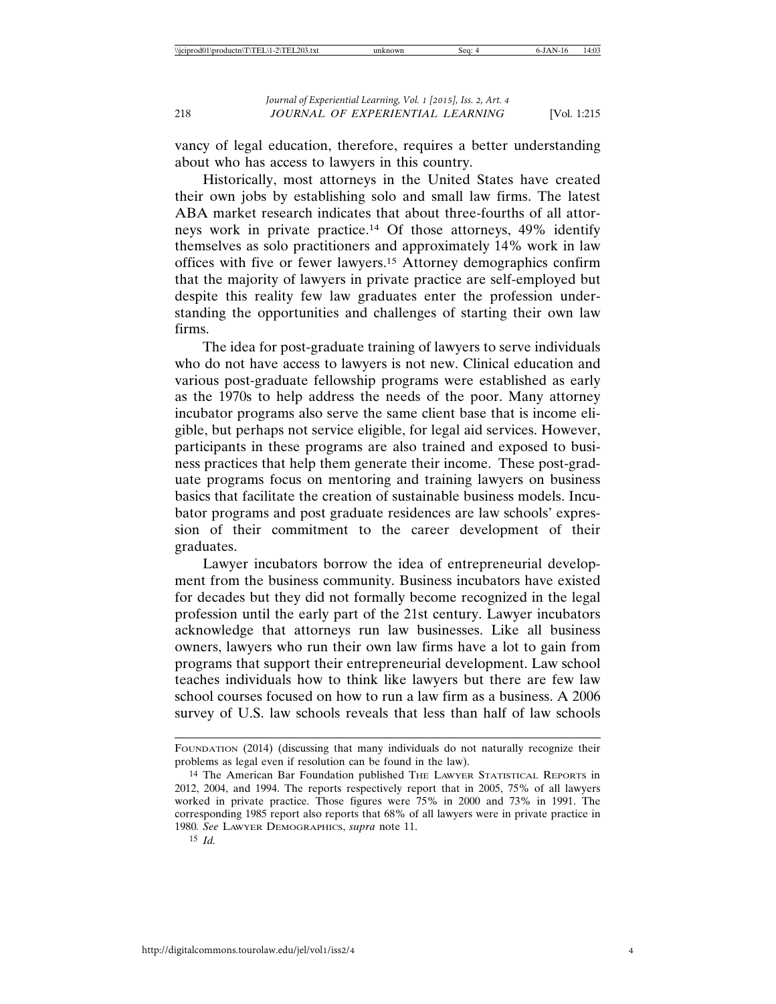vancy of legal education, therefore, requires a better understanding about who has access to lawyers in this country.

Historically, most attorneys in the United States have created their own jobs by establishing solo and small law firms. The latest ABA market research indicates that about three-fourths of all attorneys work in private practice.14 Of those attorneys, 49% identify themselves as solo practitioners and approximately 14% work in law offices with five or fewer lawyers.15 Attorney demographics confirm that the majority of lawyers in private practice are self-employed but despite this reality few law graduates enter the profession understanding the opportunities and challenges of starting their own law firms.

The idea for post-graduate training of lawyers to serve individuals who do not have access to lawyers is not new. Clinical education and various post-graduate fellowship programs were established as early as the 1970s to help address the needs of the poor. Many attorney incubator programs also serve the same client base that is income eligible, but perhaps not service eligible, for legal aid services. However, participants in these programs are also trained and exposed to business practices that help them generate their income. These post-graduate programs focus on mentoring and training lawyers on business basics that facilitate the creation of sustainable business models. Incubator programs and post graduate residences are law schools' expression of their commitment to the career development of their graduates.

Lawyer incubators borrow the idea of entrepreneurial development from the business community. Business incubators have existed for decades but they did not formally become recognized in the legal profession until the early part of the 21st century. Lawyer incubators acknowledge that attorneys run law businesses. Like all business owners, lawyers who run their own law firms have a lot to gain from programs that support their entrepreneurial development. Law school teaches individuals how to think like lawyers but there are few law school courses focused on how to run a law firm as a business. A 2006 survey of U.S. law schools reveals that less than half of law schools

FOUNDATION (2014) (discussing that many individuals do not naturally recognize their problems as legal even if resolution can be found in the law).

<sup>&</sup>lt;sup>14</sup> The American Bar Foundation published THE LAWYER STATISTICAL REPORTS in 2012, 2004, and 1994. The reports respectively report that in 2005, 75% of all lawyers worked in private practice. Those figures were 75% in 2000 and 73% in 1991. The corresponding 1985 report also reports that 68% of all lawyers were in private practice in 1980*. See* LAWYER DEMOGRAPHICS, *supra* note 11.

<sup>15</sup> *Id.*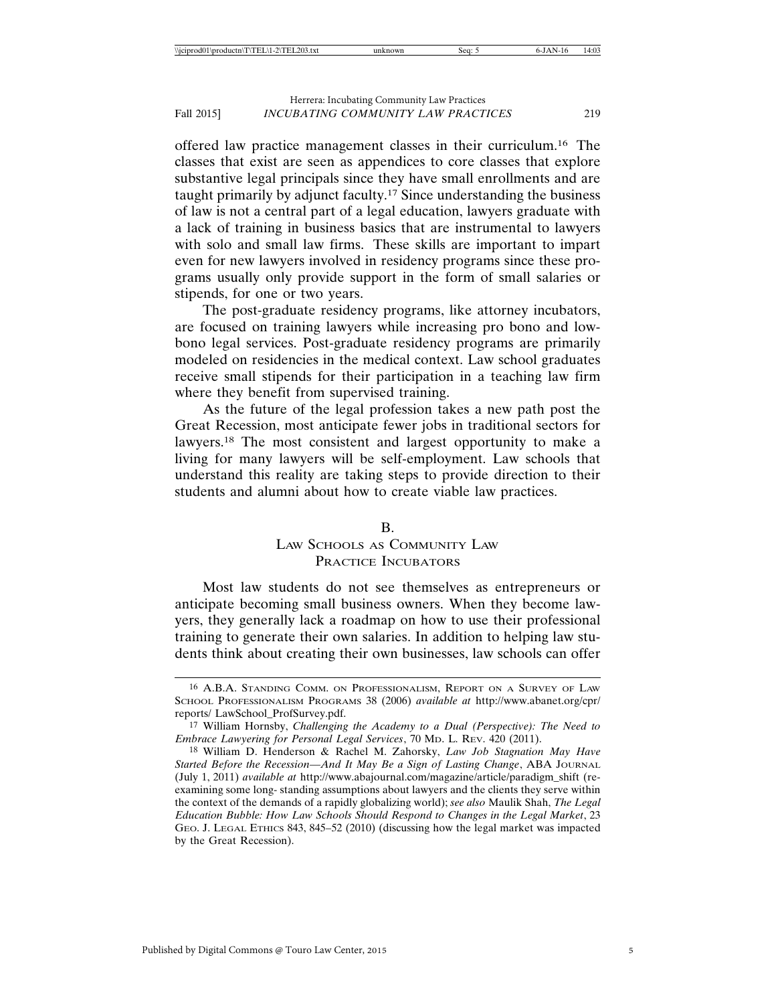offered law practice management classes in their curriculum.16 The classes that exist are seen as appendices to core classes that explore substantive legal principals since they have small enrollments and are taught primarily by adjunct faculty.17 Since understanding the business of law is not a central part of a legal education, lawyers graduate with a lack of training in business basics that are instrumental to lawyers with solo and small law firms. These skills are important to impart even for new lawyers involved in residency programs since these programs usually only provide support in the form of small salaries or stipends, for one or two years.

The post-graduate residency programs, like attorney incubators, are focused on training lawyers while increasing pro bono and lowbono legal services. Post-graduate residency programs are primarily modeled on residencies in the medical context. Law school graduates receive small stipends for their participation in a teaching law firm where they benefit from supervised training.

As the future of the legal profession takes a new path post the Great Recession, most anticipate fewer jobs in traditional sectors for lawyers.18 The most consistent and largest opportunity to make a living for many lawyers will be self-employment. Law schools that understand this reality are taking steps to provide direction to their students and alumni about how to create viable law practices.

#### B.

## LAW SCHOOLS AS COMMUNITY LAW PRACTICE INCUBATORS

Most law students do not see themselves as entrepreneurs or anticipate becoming small business owners. When they become lawyers, they generally lack a roadmap on how to use their professional training to generate their own salaries. In addition to helping law students think about creating their own businesses, law schools can offer

<sup>16</sup> A.B.A. STANDING COMM. ON PROFESSIONALISM, REPORT ON A SURVEY OF LAW SCHOOL PROFESSIONALISM PROGRAMS 38 (2006) *available at* http://www.abanet.org/cpr/ reports/ LawSchool\_ProfSurvey.pdf.

<sup>17</sup> William Hornsby, *Challenging the Academy to a Dual (Perspective): The Need to Embrace Lawyering for Personal Legal Services*, 70 MD. L. REV. 420 (2011).

<sup>18</sup> William D. Henderson & Rachel M. Zahorsky, *Law Job Stagnation May Have Started Before the Recession—And It May Be a Sign of Lasting Change*, ABA JOURNAL (July 1, 2011) *available at* http://www.abajournal.com/magazine/article/paradigm\_shift (reexamining some long- standing assumptions about lawyers and the clients they serve within the context of the demands of a rapidly globalizing world); *see also* Maulik Shah, *The Legal Education Bubble: How Law Schools Should Respond to Changes in the Legal Market*, 23 GEO. J. LEGAL ETHICS 843, 845–52 (2010) (discussing how the legal market was impacted by the Great Recession).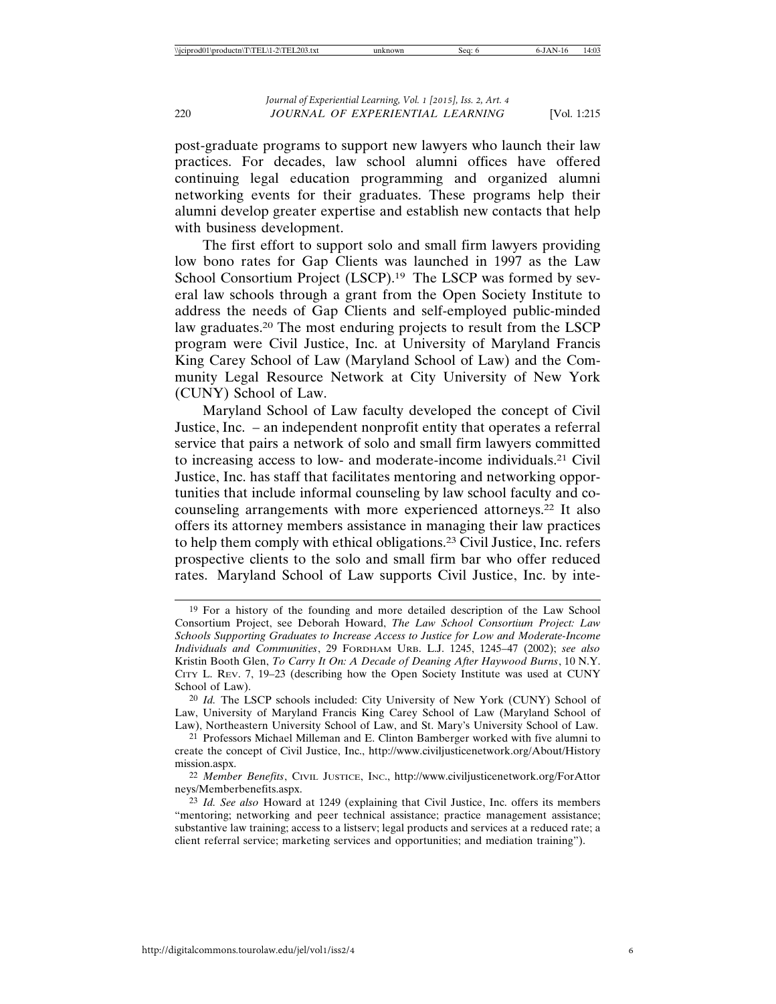post-graduate programs to support new lawyers who launch their law practices. For decades, law school alumni offices have offered continuing legal education programming and organized alumni networking events for their graduates. These programs help their alumni develop greater expertise and establish new contacts that help with business development.

The first effort to support solo and small firm lawyers providing low bono rates for Gap Clients was launched in 1997 as the Law School Consortium Project (LSCP).<sup>19</sup> The LSCP was formed by several law schools through a grant from the Open Society Institute to address the needs of Gap Clients and self-employed public-minded law graduates.20 The most enduring projects to result from the LSCP program were Civil Justice, Inc. at University of Maryland Francis King Carey School of Law (Maryland School of Law) and the Community Legal Resource Network at City University of New York (CUNY) School of Law.

Maryland School of Law faculty developed the concept of Civil Justice, Inc. – an independent nonprofit entity that operates a referral service that pairs a network of solo and small firm lawyers committed to increasing access to low- and moderate-income individuals.21 Civil Justice, Inc. has staff that facilitates mentoring and networking opportunities that include informal counseling by law school faculty and cocounseling arrangements with more experienced attorneys.22 It also offers its attorney members assistance in managing their law practices to help them comply with ethical obligations.23 Civil Justice, Inc. refers prospective clients to the solo and small firm bar who offer reduced rates. Maryland School of Law supports Civil Justice, Inc. by inte-

<sup>19</sup> For a history of the founding and more detailed description of the Law School Consortium Project, see Deborah Howard, *The Law School Consortium Project: Law Schools Supporting Graduates to Increase Access to Justice for Low and Moderate-Income Individuals and Communities*, 29 FORDHAM URB. L.J. 1245, 1245–47 (2002); *see also* Kristin Booth Glen, *To Carry It On: A Decade of Deaning After Haywood Burns*, 10 N.Y. CITY L. REV. 7, 19–23 (describing how the Open Society Institute was used at CUNY School of Law).

<sup>20</sup> *Id.* The LSCP schools included: City University of New York (CUNY) School of Law, University of Maryland Francis King Carey School of Law (Maryland School of Law), Northeastern University School of Law, and St. Mary's University School of Law.

<sup>21</sup> Professors Michael Milleman and E. Clinton Bamberger worked with five alumni to create the concept of Civil Justice, Inc., http://www.civiljusticenetwork.org/About/History mission.aspx.

<sup>22</sup> *Member Benefits*, CIVIL JUSTICE, INC., http://www.civiljusticenetwork.org/ForAttor neys/Memberbenefits.aspx.

<sup>23</sup> *Id. See also* Howard at 1249 (explaining that Civil Justice, Inc. offers its members "mentoring; networking and peer technical assistance; practice management assistance; substantive law training; access to a listserv; legal products and services at a reduced rate; a client referral service; marketing services and opportunities; and mediation training").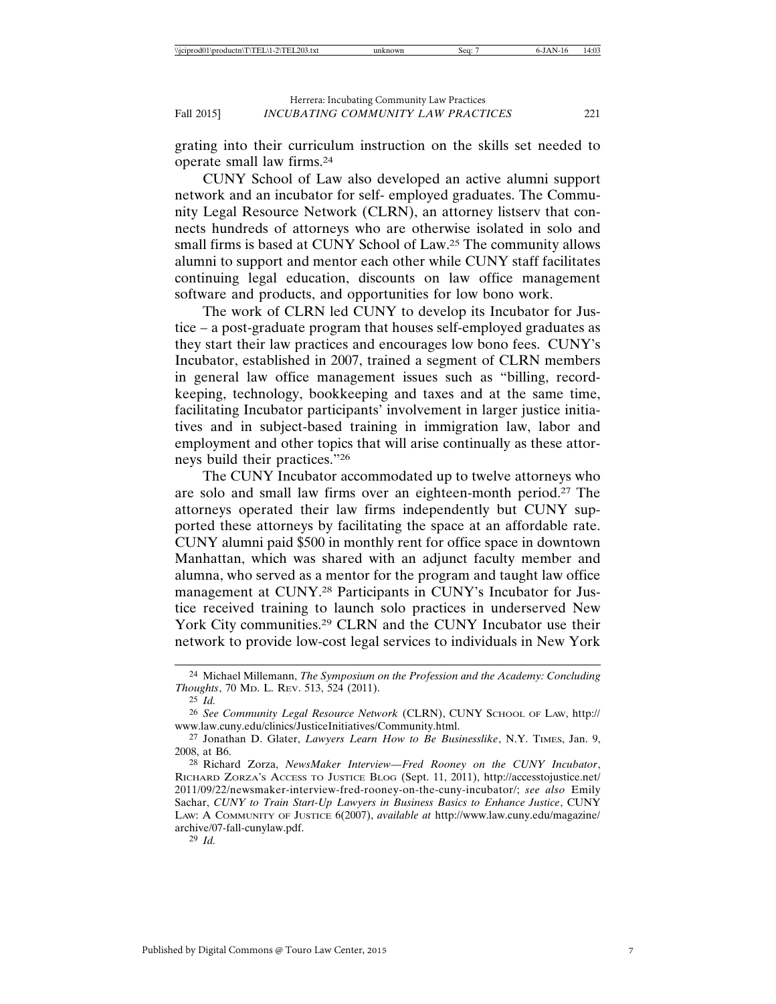grating into their curriculum instruction on the skills set needed to operate small law firms.24

CUNY School of Law also developed an active alumni support network and an incubator for self- employed graduates. The Community Legal Resource Network (CLRN), an attorney listserv that connects hundreds of attorneys who are otherwise isolated in solo and small firms is based at CUNY School of Law.25 The community allows alumni to support and mentor each other while CUNY staff facilitates continuing legal education, discounts on law office management software and products, and opportunities for low bono work.

The work of CLRN led CUNY to develop its Incubator for Justice – a post-graduate program that houses self-employed graduates as they start their law practices and encourages low bono fees. CUNY's Incubator, established in 2007, trained a segment of CLRN members in general law office management issues such as "billing, recordkeeping, technology, bookkeeping and taxes and at the same time, facilitating Incubator participants' involvement in larger justice initiatives and in subject-based training in immigration law, labor and employment and other topics that will arise continually as these attorneys build their practices."26

The CUNY Incubator accommodated up to twelve attorneys who are solo and small law firms over an eighteen-month period.27 The attorneys operated their law firms independently but CUNY supported these attorneys by facilitating the space at an affordable rate. CUNY alumni paid \$500 in monthly rent for office space in downtown Manhattan, which was shared with an adjunct faculty member and alumna, who served as a mentor for the program and taught law office management at CUNY.28 Participants in CUNY's Incubator for Justice received training to launch solo practices in underserved New York City communities.29 CLRN and the CUNY Incubator use their network to provide low-cost legal services to individuals in New York

<sup>24</sup> Michael Millemann, *The Symposium on the Profession and the Academy: Concluding Thoughts*, 70 MD. L. REV. 513, 524 (2011).

<sup>25</sup> *Id.* 

<sup>26</sup> *See Community Legal Resource Network* (CLRN), CUNY SCHOOL OF LAW, http:// www.law.cuny.edu/clinics/JusticeInitiatives/Community.html.

<sup>27</sup> Jonathan D. Glater, *Lawyers Learn How to Be Businesslike*, N.Y. TIMES, Jan. 9, 2008, at B6.

<sup>28</sup> Richard Zorza, *NewsMaker Interview—Fred Rooney on the CUNY Incubator*, RICHARD ZORZA'S ACCESS TO JUSTICE BLOG (Sept. 11, 2011), http://accesstojustice.net/ 2011/09/22/newsmaker-interview-fred-rooney-on-the-cuny-incubator/; *see also* Emily Sachar, *CUNY to Train Start-Up Lawyers in Business Basics to Enhance Justice*, CUNY LAW: A COMMUNITY OF JUSTICE 6(2007), *available at* http://www.law.cuny.edu/magazine/ archive/07-fall-cunylaw.pdf.

<sup>29</sup> *Id.*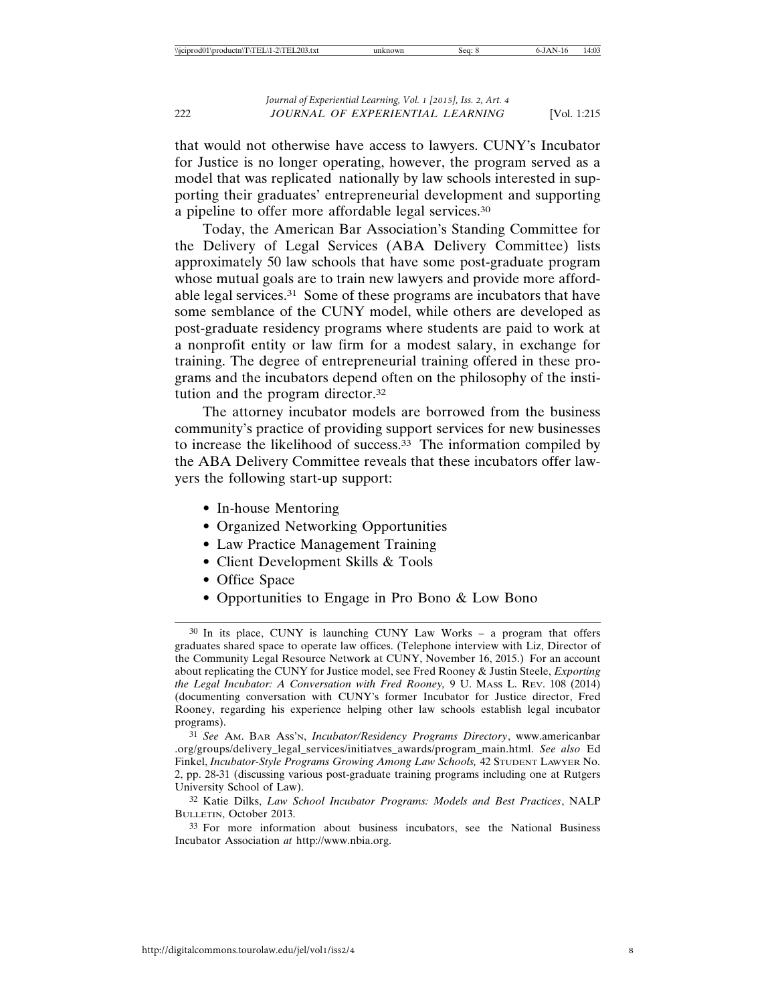that would not otherwise have access to lawyers. CUNY's Incubator for Justice is no longer operating, however, the program served as a model that was replicated nationally by law schools interested in supporting their graduates' entrepreneurial development and supporting a pipeline to offer more affordable legal services.30

Today, the American Bar Association's Standing Committee for the Delivery of Legal Services (ABA Delivery Committee) lists approximately 50 law schools that have some post-graduate program whose mutual goals are to train new lawyers and provide more affordable legal services.31 Some of these programs are incubators that have some semblance of the CUNY model, while others are developed as post-graduate residency programs where students are paid to work at a nonprofit entity or law firm for a modest salary, in exchange for training. The degree of entrepreneurial training offered in these programs and the incubators depend often on the philosophy of the institution and the program director.32

The attorney incubator models are borrowed from the business community's practice of providing support services for new businesses to increase the likelihood of success.33 The information compiled by the ABA Delivery Committee reveals that these incubators offer lawyers the following start-up support:

- In-house Mentoring
- Organized Networking Opportunities
- Law Practice Management Training
- Client Development Skills & Tools
- Office Space
- Opportunities to Engage in Pro Bono & Low Bono

31 *See* AM. BAR ASS'N, *Incubator/Residency Programs Directory*, www.americanbar .org/groups/delivery\_legal\_services/initiatves\_awards/program\_main.html. *See also* Ed Finkel, *Incubator-Style Programs Growing Among Law Schools,* 42 STUDENT LAWYER No. 2, pp. 28-31 (discussing various post-graduate training programs including one at Rutgers University School of Law).

32 Katie Dilks, *Law School Incubator Programs: Models and Best Practices*, NALP BULLETIN, October 2013.

33 For more information about business incubators, see the National Business Incubator Association *at* http://www.nbia.org.

<sup>30</sup> In its place, CUNY is launching CUNY Law Works – a program that offers graduates shared space to operate law offices. (Telephone interview with Liz, Director of the Community Legal Resource Network at CUNY, November 16, 2015.) For an account about replicating the CUNY for Justice model, see Fred Rooney & Justin Steele, *Exporting the Legal Incubator: A Conversation with Fred Rooney,* 9 U. MASS L. REV. 108 (2014) (documenting conversation with CUNY's former Incubator for Justice director, Fred Rooney, regarding his experience helping other law schools establish legal incubator programs).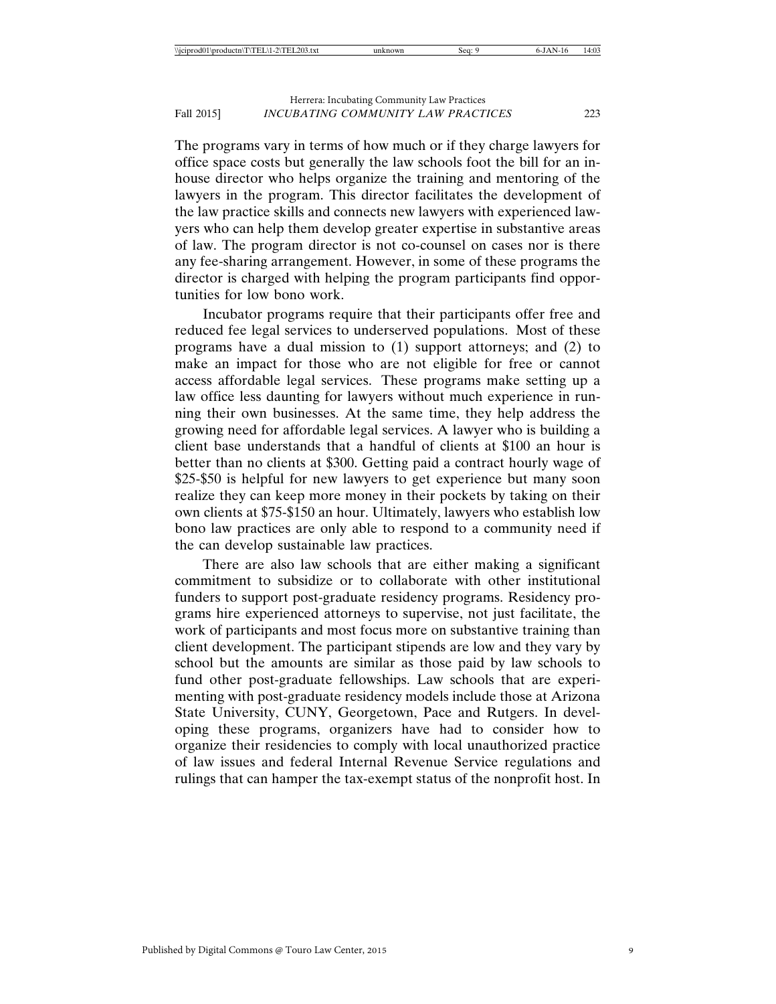The programs vary in terms of how much or if they charge lawyers for office space costs but generally the law schools foot the bill for an inhouse director who helps organize the training and mentoring of the lawyers in the program. This director facilitates the development of the law practice skills and connects new lawyers with experienced lawyers who can help them develop greater expertise in substantive areas of law. The program director is not co-counsel on cases nor is there any fee-sharing arrangement. However, in some of these programs the director is charged with helping the program participants find opportunities for low bono work.

Incubator programs require that their participants offer free and reduced fee legal services to underserved populations. Most of these programs have a dual mission to (1) support attorneys; and (2) to make an impact for those who are not eligible for free or cannot access affordable legal services. These programs make setting up a law office less daunting for lawyers without much experience in running their own businesses. At the same time, they help address the growing need for affordable legal services. A lawyer who is building a client base understands that a handful of clients at \$100 an hour is better than no clients at \$300. Getting paid a contract hourly wage of \$25-\$50 is helpful for new lawyers to get experience but many soon realize they can keep more money in their pockets by taking on their own clients at \$75-\$150 an hour. Ultimately, lawyers who establish low bono law practices are only able to respond to a community need if the can develop sustainable law practices.

There are also law schools that are either making a significant commitment to subsidize or to collaborate with other institutional funders to support post-graduate residency programs. Residency programs hire experienced attorneys to supervise, not just facilitate, the work of participants and most focus more on substantive training than client development. The participant stipends are low and they vary by school but the amounts are similar as those paid by law schools to fund other post-graduate fellowships. Law schools that are experimenting with post-graduate residency models include those at Arizona State University, CUNY, Georgetown, Pace and Rutgers. In developing these programs, organizers have had to consider how to organize their residencies to comply with local unauthorized practice of law issues and federal Internal Revenue Service regulations and rulings that can hamper the tax-exempt status of the nonprofit host. In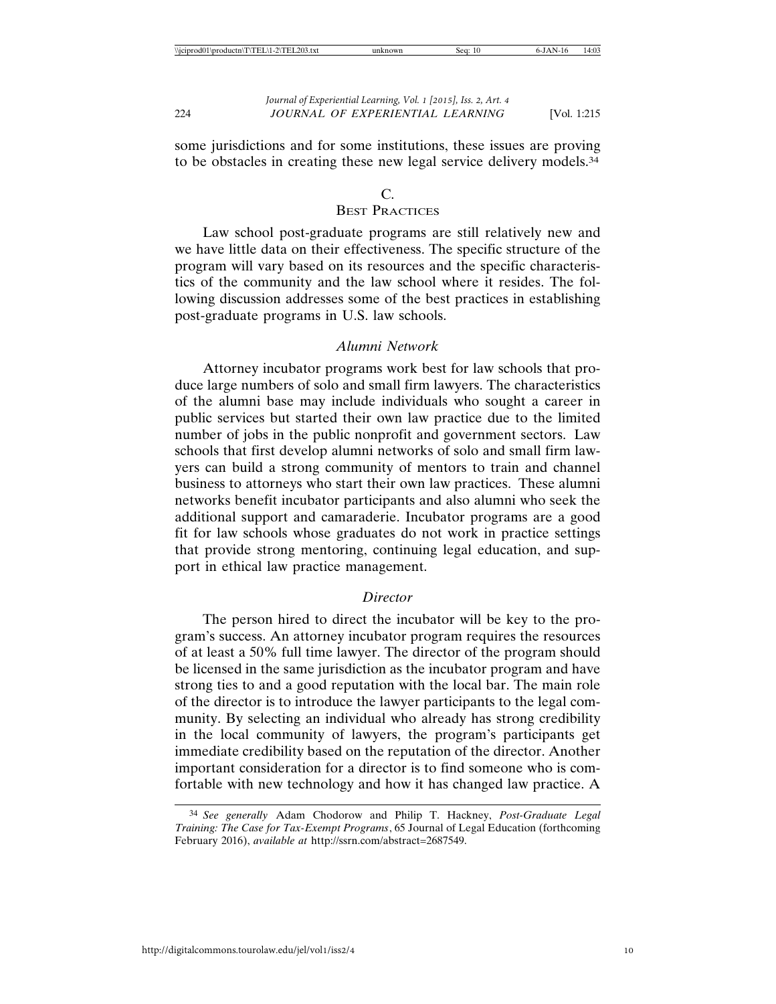some jurisdictions and for some institutions, these issues are proving to be obstacles in creating these new legal service delivery models.34

#### $\mathcal{C}$

## **BEST PRACTICES**

Law school post-graduate programs are still relatively new and we have little data on their effectiveness. The specific structure of the program will vary based on its resources and the specific characteristics of the community and the law school where it resides. The following discussion addresses some of the best practices in establishing post-graduate programs in U.S. law schools.

#### *Alumni Network*

Attorney incubator programs work best for law schools that produce large numbers of solo and small firm lawyers. The characteristics of the alumni base may include individuals who sought a career in public services but started their own law practice due to the limited number of jobs in the public nonprofit and government sectors. Law schools that first develop alumni networks of solo and small firm lawyers can build a strong community of mentors to train and channel business to attorneys who start their own law practices. These alumni networks benefit incubator participants and also alumni who seek the additional support and camaraderie. Incubator programs are a good fit for law schools whose graduates do not work in practice settings that provide strong mentoring, continuing legal education, and support in ethical law practice management.

#### *Director*

The person hired to direct the incubator will be key to the program's success. An attorney incubator program requires the resources of at least a 50% full time lawyer. The director of the program should be licensed in the same jurisdiction as the incubator program and have strong ties to and a good reputation with the local bar. The main role of the director is to introduce the lawyer participants to the legal community. By selecting an individual who already has strong credibility in the local community of lawyers, the program's participants get immediate credibility based on the reputation of the director. Another important consideration for a director is to find someone who is comfortable with new technology and how it has changed law practice. A

<sup>34</sup> *See generally* Adam Chodorow and Philip T. Hackney, *Post-Graduate Legal Training: The Case for Tax-Exempt Programs*, 65 Journal of Legal Education (forthcoming February 2016), *available at* http://ssrn.com/abstract=2687549.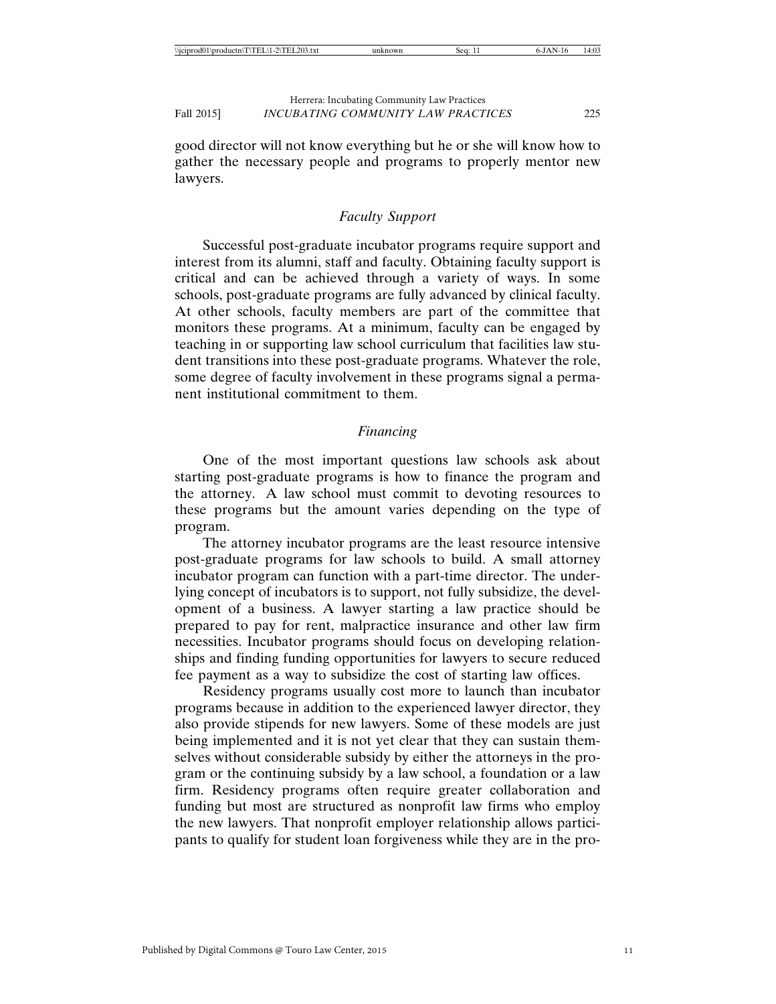good director will not know everything but he or she will know how to gather the necessary people and programs to properly mentor new lawyers.

## *Faculty Support*

Successful post-graduate incubator programs require support and interest from its alumni, staff and faculty. Obtaining faculty support is critical and can be achieved through a variety of ways. In some schools, post-graduate programs are fully advanced by clinical faculty. At other schools, faculty members are part of the committee that monitors these programs. At a minimum, faculty can be engaged by teaching in or supporting law school curriculum that facilities law student transitions into these post-graduate programs. Whatever the role, some degree of faculty involvement in these programs signal a permanent institutional commitment to them.

## *Financing*

One of the most important questions law schools ask about starting post-graduate programs is how to finance the program and the attorney. A law school must commit to devoting resources to these programs but the amount varies depending on the type of program.

The attorney incubator programs are the least resource intensive post-graduate programs for law schools to build. A small attorney incubator program can function with a part-time director. The underlying concept of incubators is to support, not fully subsidize, the development of a business. A lawyer starting a law practice should be prepared to pay for rent, malpractice insurance and other law firm necessities. Incubator programs should focus on developing relationships and finding funding opportunities for lawyers to secure reduced fee payment as a way to subsidize the cost of starting law offices.

Residency programs usually cost more to launch than incubator programs because in addition to the experienced lawyer director, they also provide stipends for new lawyers. Some of these models are just being implemented and it is not yet clear that they can sustain themselves without considerable subsidy by either the attorneys in the program or the continuing subsidy by a law school, a foundation or a law firm. Residency programs often require greater collaboration and funding but most are structured as nonprofit law firms who employ the new lawyers. That nonprofit employer relationship allows participants to qualify for student loan forgiveness while they are in the pro-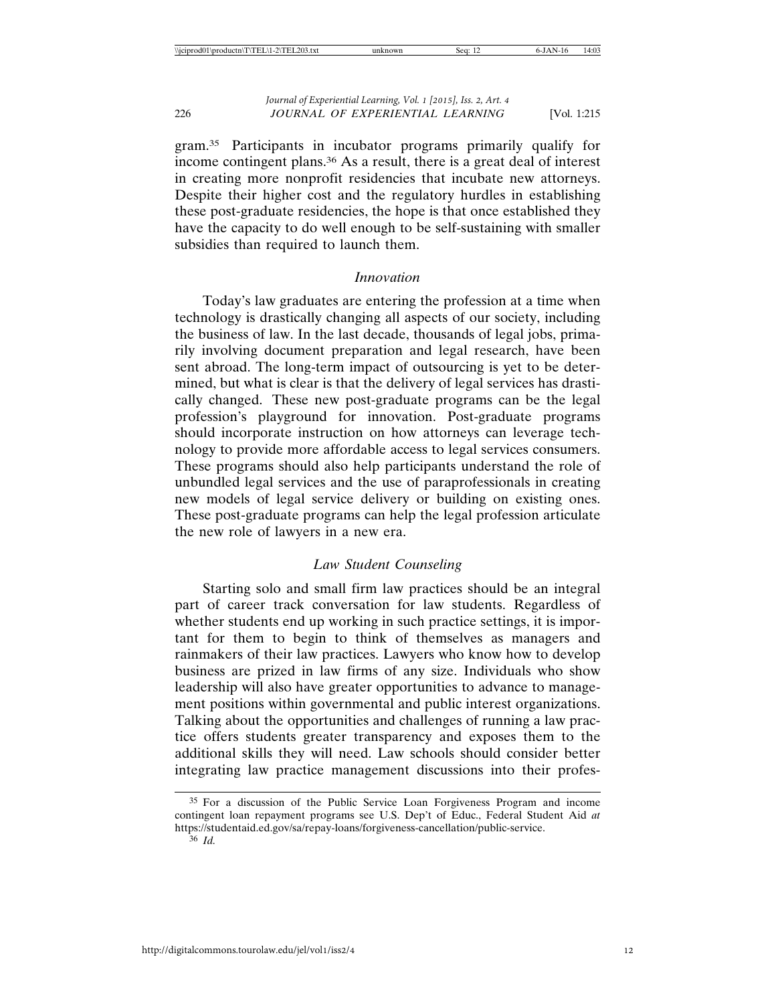gram.35 Participants in incubator programs primarily qualify for income contingent plans.36 As a result, there is a great deal of interest in creating more nonprofit residencies that incubate new attorneys. Despite their higher cost and the regulatory hurdles in establishing these post-graduate residencies, the hope is that once established they have the capacity to do well enough to be self-sustaining with smaller subsidies than required to launch them.

## *Innovation*

Today's law graduates are entering the profession at a time when technology is drastically changing all aspects of our society, including the business of law. In the last decade, thousands of legal jobs, primarily involving document preparation and legal research, have been sent abroad. The long-term impact of outsourcing is yet to be determined, but what is clear is that the delivery of legal services has drastically changed. These new post-graduate programs can be the legal profession's playground for innovation. Post-graduate programs should incorporate instruction on how attorneys can leverage technology to provide more affordable access to legal services consumers. These programs should also help participants understand the role of unbundled legal services and the use of paraprofessionals in creating new models of legal service delivery or building on existing ones. These post-graduate programs can help the legal profession articulate the new role of lawyers in a new era.

## *Law Student Counseling*

Starting solo and small firm law practices should be an integral part of career track conversation for law students. Regardless of whether students end up working in such practice settings, it is important for them to begin to think of themselves as managers and rainmakers of their law practices. Lawyers who know how to develop business are prized in law firms of any size. Individuals who show leadership will also have greater opportunities to advance to management positions within governmental and public interest organizations. Talking about the opportunities and challenges of running a law practice offers students greater transparency and exposes them to the additional skills they will need. Law schools should consider better integrating law practice management discussions into their profes-

<sup>35</sup> For a discussion of the Public Service Loan Forgiveness Program and income contingent loan repayment programs see U.S. Dep't of Educ., Federal Student Aid *at* https://studentaid.ed.gov/sa/repay-loans/forgiveness-cancellation/public-service. 36 *Id.*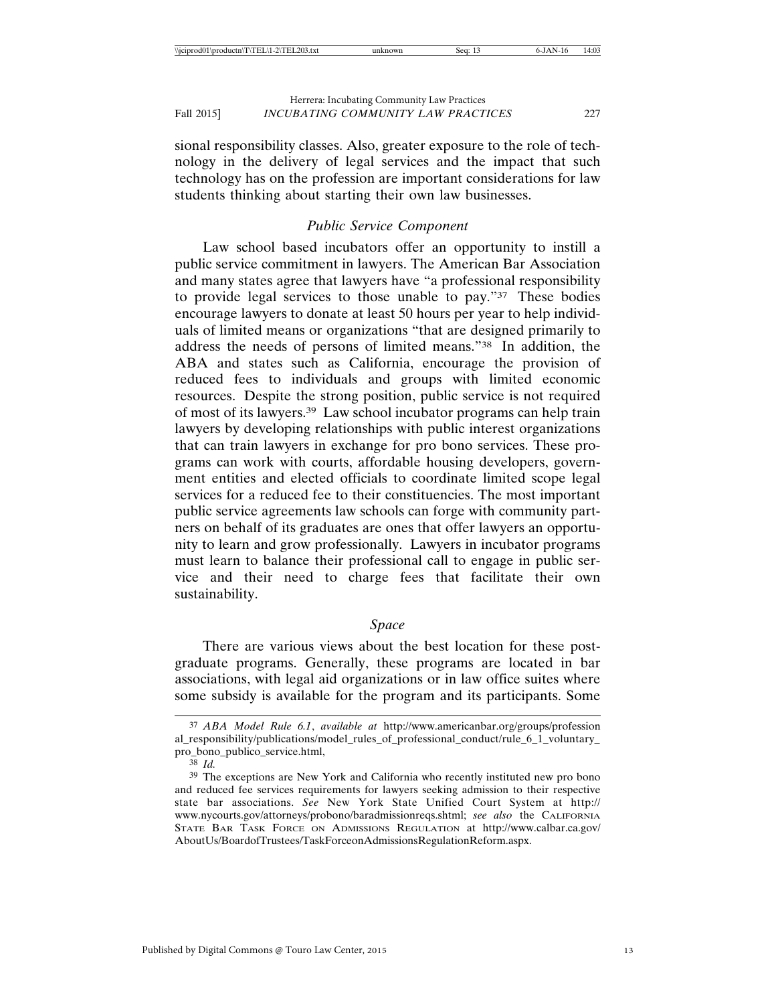sional responsibility classes. Also, greater exposure to the role of technology in the delivery of legal services and the impact that such technology has on the profession are important considerations for law students thinking about starting their own law businesses.

## *Public Service Component*

Law school based incubators offer an opportunity to instill a public service commitment in lawyers. The American Bar Association and many states agree that lawyers have "a professional responsibility to provide legal services to those unable to pay."37 These bodies encourage lawyers to donate at least 50 hours per year to help individuals of limited means or organizations "that are designed primarily to address the needs of persons of limited means."38 In addition, the ABA and states such as California, encourage the provision of reduced fees to individuals and groups with limited economic resources. Despite the strong position, public service is not required of most of its lawyers.39 Law school incubator programs can help train lawyers by developing relationships with public interest organizations that can train lawyers in exchange for pro bono services. These programs can work with courts, affordable housing developers, government entities and elected officials to coordinate limited scope legal services for a reduced fee to their constituencies. The most important public service agreements law schools can forge with community partners on behalf of its graduates are ones that offer lawyers an opportunity to learn and grow professionally. Lawyers in incubator programs must learn to balance their professional call to engage in public service and their need to charge fees that facilitate their own sustainability.

## *Space*

There are various views about the best location for these postgraduate programs. Generally, these programs are located in bar associations, with legal aid organizations or in law office suites where some subsidy is available for the program and its participants. Some

<sup>37</sup> *ABA Model Rule 6.1*, *available at* http://www.americanbar.org/groups/profession al\_responsibility/publications/model\_rules\_of\_professional\_conduct/rule\_6\_1\_voluntary\_ pro\_bono\_publico\_service.html,

<sup>38</sup> *Id.*

<sup>39</sup> The exceptions are New York and California who recently instituted new pro bono and reduced fee services requirements for lawyers seeking admission to their respective state bar associations. *See* New York State Unified Court System at http:// www.nycourts.gov/attorneys/probono/baradmissionreqs.shtml; *see also* the CALIFORNIA STATE BAR TASK FORCE ON ADMISSIONS REGULATION at http://www.calbar.ca.gov/ AboutUs/BoardofTrustees/TaskForceonAdmissionsRegulationReform.aspx.